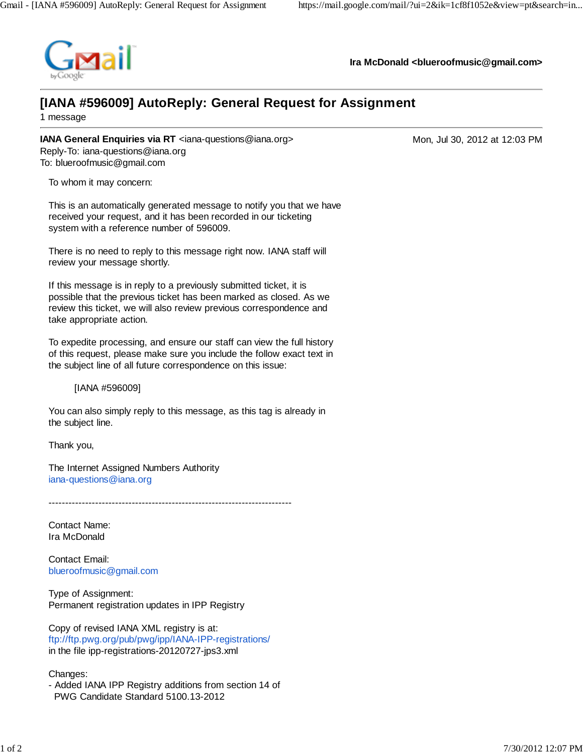

**Ira McDonald <blueroofmusic@gmail.com>**

## **[IANA #596009] AutoReply: General Request for Assignment**

1 message

**IANA General Enquiries via RT** <iana-questions@iana.org> Mon, Jul 30, 2012 at 12:03 PM Reply-To: iana-questions@iana.org To: blueroofmusic@gmail.com

To whom it may concern:

This is an automatically generated message to notify you that we have received your request, and it has been recorded in our ticketing system with a reference number of 596009.

There is no need to reply to this message right now. IANA staff will review your message shortly.

If this message is in reply to a previously submitted ticket, it is possible that the previous ticket has been marked as closed. As we review this ticket, we will also review previous correspondence and take appropriate action.

To expedite processing, and ensure our staff can view the full history of this request, please make sure you include the follow exact text in the subject line of all future correspondence on this issue:

[IANA #596009]

You can also simply reply to this message, as this tag is already in the subject line.

Thank you,

The Internet Assigned Numbers Authority iana-questions@iana.org

 $-$ 

Contact Name: Ira McDonald

Contact Email: blueroofmusic@gmail.com

Type of Assignment: Permanent registration updates in IPP Registry

Copy of revised IANA XML registry is at: ftp://ftp.pwg.org/pub/pwg/ipp/IANA-IPP-registrations/ in the file ipp-registrations-20120727-jps3.xml

Changes:

- Added IANA IPP Registry additions from section 14 of PWG Candidate Standard 5100.13-2012